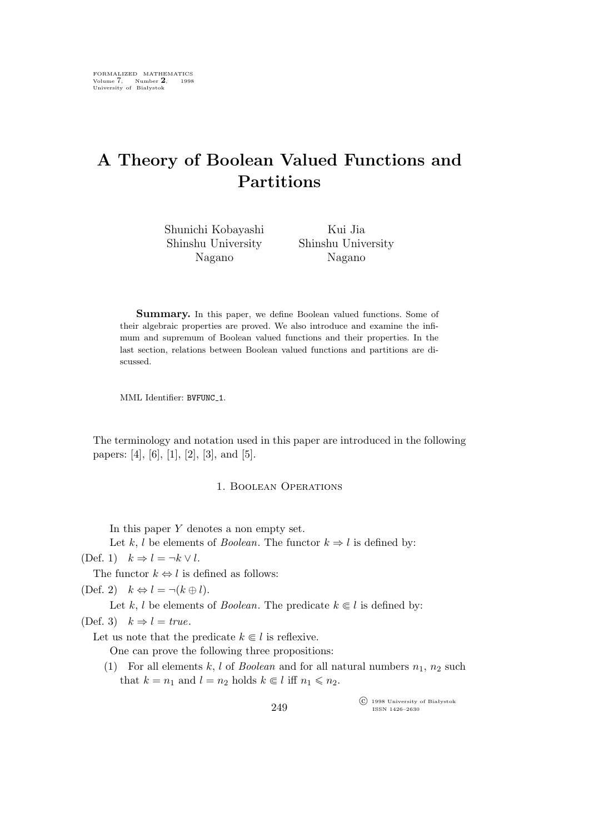# **A Theory of Boolean Valued Functions and Partitions**

| Shunichi Kobayashi | Kui Jia            |
|--------------------|--------------------|
| Shinshu University | Shinshu University |
| Nagano             | Nagano             |

Summary. In this paper, we define Boolean valued functions. Some of their algebraic properties are proved. We also introduce and examine the infimum and supremum of Boolean valued functions and their properties. In the last section, relations between Boolean valued functions and partitions are discussed.

MML Identifier: BVFUNC 1.

The terminology and notation used in this paper are introduced in the following papers: [4], [6], [1], [2], [3], and [5].

#### 1. Boolean Operations

In this paper  $Y$  denotes a non empty set.

Let k, l be elements of *Boolean*. The functor  $k \Rightarrow l$  is defined by:

 $(Def. 1)$   $k \Rightarrow l = \neg k \vee l.$ 

The functor  $k \Leftrightarrow l$  is defined as follows:

(Def. 2)  $k \Leftrightarrow l = \neg (k \oplus l).$ 

Let k, l be elements of *Boolean*. The predicate  $k \in \mathcal{l}$  is defined by:

(Def. 3)  $k \Rightarrow l = true$ .

Let us note that the predicate  $k \in l$  is reflexive.

One can prove the following three propositions:

(1) For all elements k, l of *Boolean* and for all natural numbers  $n_1$ ,  $n_2$  such that  $k = n_1$  and  $l = n_2$  holds  $k \in l$  iff  $n_1 \leq n_2$ .

> °c 1998 University of Białystok ISSN 1426–2630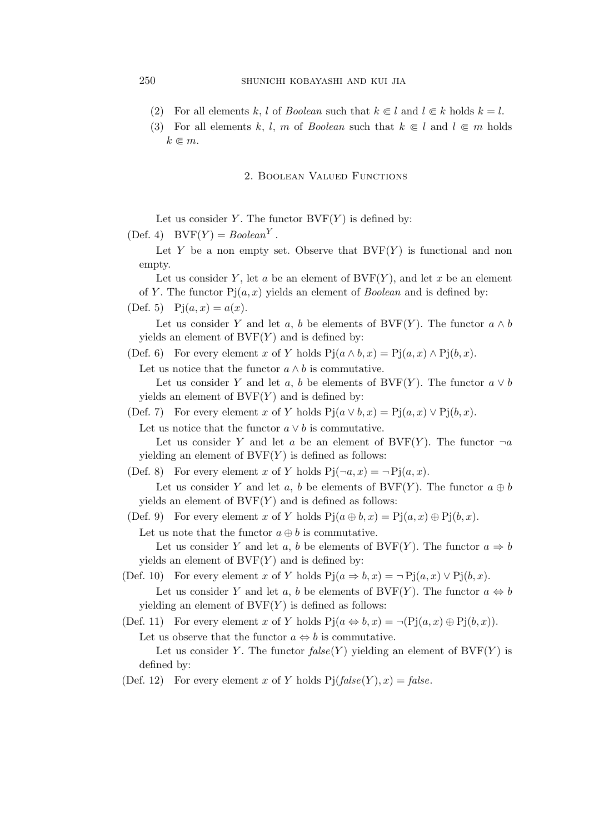- (2) For all elements k, l of *Boolean* such that  $k \in l$  and  $l \in k$  holds  $k = l$ .
- (3) For all elements k, l, m of *Boolean* such that  $k \in l$  and  $l \in m$  holds  $k \in m$ .

#### 2. Boolean Valued Functions

Let us consider Y. The functor  $BVF(Y)$  is defined by:

(Def. 4)  $BVF(Y) = Boolean<sup>Y</sup>$ .

Let Y be a non empty set. Observe that  $BVF(Y)$  is functional and non empty.

Let us consider Y, let a be an element of  $BVF(Y)$ , and let x be an element of Y. The functor  $Pj(a,x)$  yields an element of *Boolean* and is defined by:

(Def. 5)  $Pj(a, x) = a(x)$ .

Let us consider Y and let a, b be elements of BVF(Y). The functor  $a \wedge b$ yields an element of  $BVF(Y)$  and is defined by:

(Def. 6) For every element x of Y holds  $Pj(a \wedge b, x) = Pj(a, x) \wedge Pj(b, x)$ .

Let us notice that the functor  $a \wedge b$  is commutative.

Let us consider Y and let a, b be elements of BVF(Y). The functor  $a \vee b$ yields an element of  $BVF(Y)$  and is defined by:

(Def. 7) For every element x of Y holds  $Pj(a \vee b, x) = Pj(a, x) \vee Pj(b, x)$ .

Let us notice that the functor  $a \vee b$  is commutative.

Let us consider Y and let a be an element of BVF(Y). The functor  $\neg a$ yielding an element of  $\text{BVF}(Y)$  is defined as follows:

(Def. 8) For every element x of Y holds  $P_1(\neg a, x) = \neg P_1(a, x)$ .

Let us consider Y and let a, b be elements of  $BVF(Y)$ . The functor  $a \oplus b$ yields an element of  $BVF(Y)$  and is defined as follows:

(Def. 9) For every element x of Y holds  $P(i \oplus b, x) = P(i \oplus a, x) \oplus P(i \oplus b, x)$ .

Let us note that the functor  $a \oplus b$  is commutative.

Let us consider Y and let a, b be elements of  $BVF(Y)$ . The functor  $a \Rightarrow b$ yields an element of  $BVF(Y)$  and is defined by:

(Def. 10) For every element x of Y holds  $Pj(a \Rightarrow b, x) = \neg Pj(a, x) \lor Pj(b, x)$ . Let us consider Y and let a, b be elements of BVF(Y). The functor  $a \Leftrightarrow b$ yielding an element of  $\text{BVF}(Y)$  is defined as follows:

(Def. 11) For every element x of Y holds  $Pj(a \Leftrightarrow b, x) = \neg (Pj(a, x) \oplus Pj(b, x)).$ 

Let us observe that the functor  $a \Leftrightarrow b$  is commutative.

Let us consider Y. The functor  $false(Y)$  yielding an element of  $BVF(Y)$  is defined by:

(Def. 12) For every element x of Y holds  $Pj(false(Y),x) = false$ .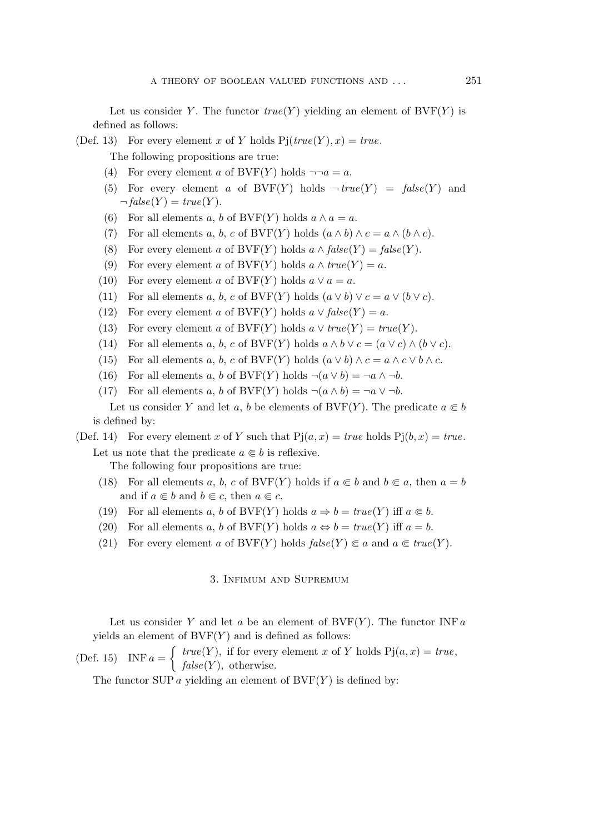Let us consider Y. The functor  $true(Y)$  yielding an element of  $BVF(Y)$  is defined as follows:

(Def. 13) For every element x of Y holds  $Pj(true(Y), x) = true$ .

The following propositions are true:

- (4) For every element a of BVF(Y) holds  $\neg \neg a = a$ .
- (5) For every element a of BVF(Y) holds  $\neg \text{true}(Y) = \text{false}(Y)$  and  $\neg false(Y) = true(Y).$
- (6) For all elements a, b of BVF(Y) holds  $a \wedge a = a$ .
- (7) For all elements a, b, c of BVF(Y) holds  $(a \wedge b) \wedge c = a \wedge (b \wedge c)$ .
- (8) For every element a of  $BVF(Y)$  holds  $a \wedge false(Y) = false(Y)$ .
- (9) For every element a of BVF(Y) holds  $a \wedge true(Y) = a$ .
- (10) For every element a of BVF(Y) holds  $a \vee a = a$ .
- (11) For all elements a, b, c of BVF(Y) holds  $(a \vee b) \vee c = a \vee (b \vee c)$ .
- (12) For every element a of BVF(Y) holds  $a \vee false(Y) = a$ .
- (13) For every element a of BVF(Y) holds  $a \vee true(Y) = true(Y)$ .
- (14) For all elements a, b, c of BVF(Y) holds  $a \wedge b \vee c = (a \vee c) \wedge (b \vee c)$ .
- (15) For all elements a, b, c of BVF(Y) holds  $(a \vee b) \wedge c = a \wedge c \vee b \wedge c$ .
- (16) For all elements a, b of BVF(Y) holds  $\neg(a \lor b) = \neg a \land \neg b$ .
- (17) For all elements a, b of BVF(Y) holds  $\neg(a \land b) = \neg a \lor \neg b$ .

Let us consider Y and let a, b be elements of  $BVF(Y)$ . The predicate  $a \in b$ is defined by:

## (Def. 14) For every element x of Y such that  $Pj(a, x) = true$  holds  $Pj(b, x) = true$ .

Let us note that the predicate  $a \in b$  is reflexive.

The following four propositions are true:

- (18) For all elements a, b, c of BVF(Y) holds if  $a \in b$  and  $b \in a$ , then  $a = b$ and if  $a \in b$  and  $b \in c$ , then  $a \in c$ .
- (19) For all elements a, b of  $BVF(Y)$  holds  $a \Rightarrow b = true(Y)$  iff  $a \in b$ .
- (20) For all elements a, b of  $BVF(Y)$  holds  $a \Leftrightarrow b = true(Y)$  iff  $a = b$ .
- (21) For every element a of  $BVF(Y)$  holds  $false(Y) \subseteq a$  and  $a \in true(Y)$ .

## 3. Infimum and Supremum

Let us consider Y and let a be an element of  $BVF(Y)$ . The functor INF a yields an element of  $BVF(Y)$  and is defined as follows:

(Def. 15) INF  $a = \begin{cases} true(Y)$ , if for every element x of Y holds  $Pj(a, x) = true, \end{cases}$  $false(Y)$ , otherwise.

The functor SUP  $\alpha$  yielding an element of BVF $(Y)$  is defined by: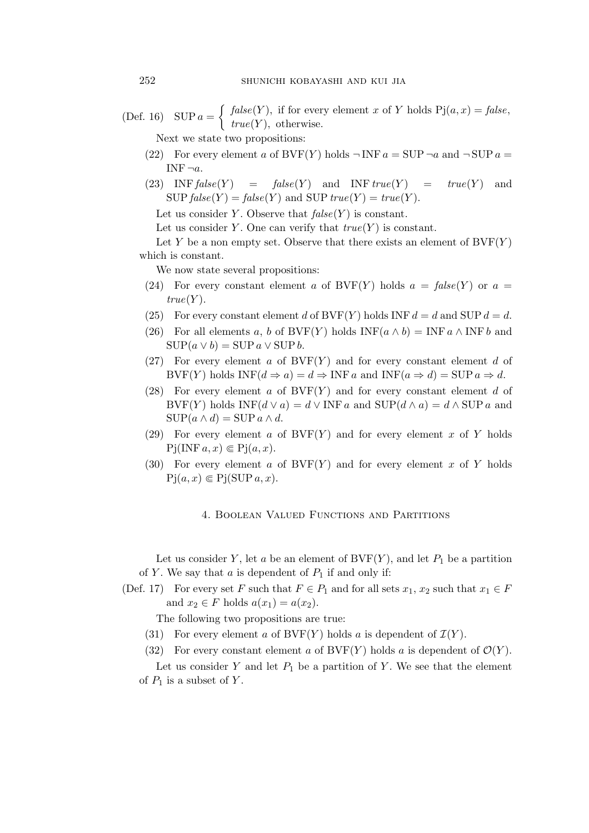(Def. 16) SUP  $a = \begin{cases} false(Y)$ , if for every element x of Y holds Pj $(a, x) = false,$  $true(Y)$ , otherwise.

Next we state two propositions:

- (22) For every element a of  $BVF(Y)$  holds  $\neg INF a = SUP \neg a$  and  $\neg SUP a =$ INF<sup> $\neg a$ </sup>.
- (23) INF  $false(Y) = false(Y)$  and INF  $true(Y) = true(Y)$  and  $SUP false(Y) = false(Y)$  and  $SUP true(Y) = true(Y)$ .

Let us consider Y. Observe that  $false(Y)$  is constant.

Let us consider Y. One can verify that  $true(Y)$  is constant.

Let Y be a non empty set. Observe that there exists an element of  $BVF(Y)$ which is constant.

We now state several propositions:

- (24) For every constant element a of BVF(Y) holds  $a = false(Y)$  or  $a =$  $true(Y)$ .
- (25) For every constant element d of BVF(Y) holds INF  $d = d$  and SUP  $d = d$ .
- (26) For all elements a, b of  $BVF(Y)$  holds  $INF(a \wedge b) = INF a \wedge INF b$  and  $\text{SUP}(a \vee b) = \text{SUP } a \vee \text{SUP } b.$
- (27) For every element a of  $BVF(Y)$  and for every constant element d of BVF(Y) holds  $INF(d \Rightarrow a) = d \Rightarrow INF a$  and  $INF(a \Rightarrow d) = SUP a \Rightarrow d$ .
- (28) For every element a of  $BVF(Y)$  and for every constant element d of BVF(Y) holds INF( $d \vee a$ ) =  $d \vee$  INF  $a$  and SUP( $d \wedge a$ ) =  $d \wedge$  SUP  $a$  and  $\text{SUP}(a \wedge d) = \text{SUP } a \wedge d.$
- (29) For every element a of  $BVF(Y)$  and for every element x of Y holds  $Pj(INF a, x) \in Pj(a, x).$
- (30) For every element a of  $BVF(Y)$  and for every element x of Y holds  $Pj(a, x) \in Pj(SUP a, x).$

### 4. Boolean Valued Functions and Partitions

Let us consider Y, let a be an element of  $BVF(Y)$ , and let  $P_1$  be a partition of Y. We say that  $a$  is dependent of  $P_1$  if and only if:

(Def. 17) For every set F such that  $F \in P_1$  and for all sets  $x_1, x_2$  such that  $x_1 \in F$ and  $x_2 \in F$  holds  $a(x_1) = a(x_2)$ .

The following two propositions are true:

- (31) For every element a of  $BVF(Y)$  holds a is dependent of  $\mathcal{I}(Y)$ .
- (32) For every constant element a of  $\text{BVF}(Y)$  holds a is dependent of  $\mathcal{O}(Y)$ .

Let us consider Y and let  $P_1$  be a partition of Y. We see that the element of  $P_1$  is a subset of Y.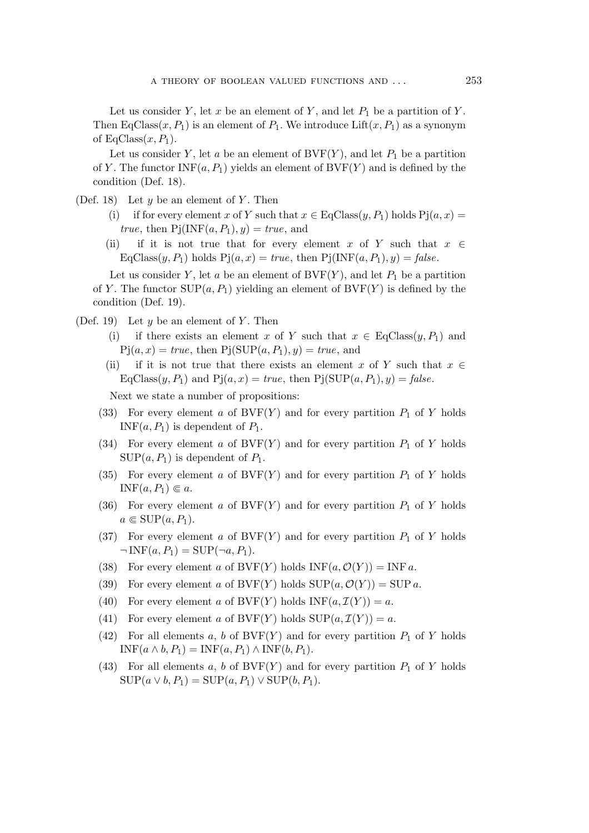Let us consider Y, let x be an element of Y, and let  $P_1$  be a partition of Y. Then EqClass $(x, P_1)$  is an element of  $P_1$ . We introduce Lift $(x, P_1)$  as a synonym of  $EqClass(x, P_1)$ .

Let us consider Y, let a be an element of  $BVF(Y)$ , and let  $P_1$  be a partition of Y. The functor  $INF(a, P_1)$  yields an element of  $BVF(Y)$  and is defined by the condition (Def. 18).

- (Def. 18) Let  $y$  be an element of  $Y$ . Then
	- (i) if for every element x of Y such that  $x \in E_qClass(y, P_1)$  holds  $P_1(a, x) =$ *true*, then  $Pj(NF(a, P_1), y) = true$ , and
	- (ii) if it is not true that for every element x of Y such that x *∈*  $EqClass(y, P_1)$  holds  $Pj(a, x) = true$ , then  $Pj(INF(a, P_1), y) = false$ .

Let us consider Y, let a be an element of  $BVF(Y)$ , and let  $P_1$  be a partition of Y. The functor  $\text{SUP}(a, P_1)$  yielding an element of  $\text{BVF}(Y)$  is defined by the condition (Def. 19).

- (Def. 19) Let  $y$  be an element of  $Y$ . Then
	- (i) if there exists an element x of Y such that  $x \in EqClass(y, P_1)$  and  $Pj(a, x) = true$ , then  $Pj(SUP(a, P_1), y) = true$ , and
	- (ii) if it is not true that there exists an element x of Y such that  $x \in$  $EqClass(y, P_1)$  and  $Pj(a, x) = true$ , then  $Pj(SUP(a, P_1), y) = false$ .

Next we state a number of propositions:

- (33) For every element a of  $BVF(Y)$  and for every partition  $P_1$  of Y holds INF $(a, P_1)$  is dependent of  $P_1$ .
- (34) For every element a of  $BVF(Y)$  and for every partition  $P_1$  of Y holds  $\text{SUP}(a, P_1)$  is dependent of  $P_1$ .
- (35) For every element a of  $BVF(Y)$  and for every partition  $P_1$  of Y holds  $INF(a, P_1) \in a.$
- (36) For every element a of  $BVF(Y)$  and for every partition  $P_1$  of Y holds  $a \in \text{SUP}(a, P_1)$ .
- (37) For every element a of  $BVF(Y)$  and for every partition  $P_1$  of Y holds  $\neg INF(a, P_1) = \text{SUP}(\neg a, P_1).$
- (38) For every element a of  $BVF(Y)$  holds  $INF(a, \mathcal{O}(Y)) = INF a$ .
- (39) For every element a of  $BVF(Y)$  holds  $SUP(a, \mathcal{O}(Y)) = SUPa$ .
- (40) For every element a of  $BVF(Y)$  holds  $INF(a, \mathcal{I}(Y)) = a$ .
- (41) For every element a of  $BVF(Y)$  holds  $SUP(a, \mathcal{I}(Y)) = a$ .
- (42) For all elements a, b of  $BVF(Y)$  and for every partition  $P_1$  of Y holds  $INF(a \wedge b, P_1) = INF(a, P_1) \wedge INF(b, P_1).$
- (43) For all elements a, b of  $BVF(Y)$  and for every partition  $P_1$  of Y holds  $\text{SUP}(a \vee b, P_1) = \text{SUP}(a, P_1) \vee \text{SUP}(b, P_1).$